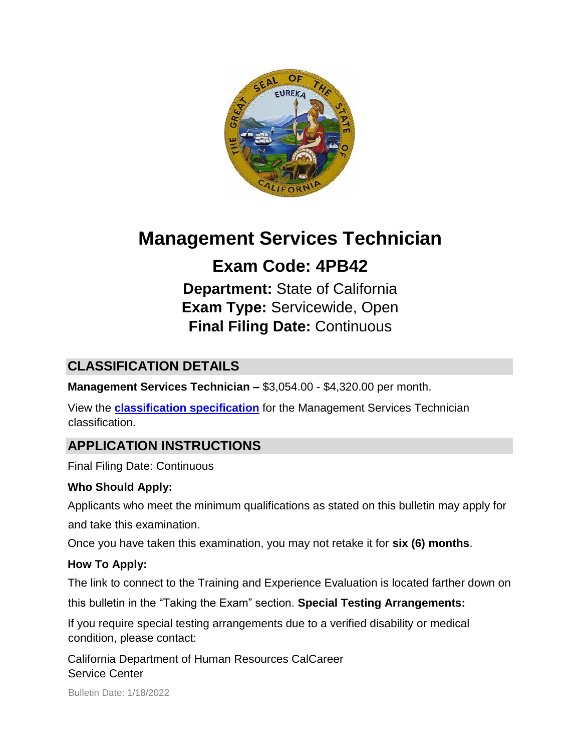

# **Management Services Technician**

# **Exam Code: 4PB42**

**Department:** State of California **Exam Type:** Servicewide, Open **Final Filing Date:** Continuous

# **CLASSIFICATION DETAILS**

**Management Services Technician –** \$3,054.00 - \$4,320.00 per month.

View the **[classification specification](http://calhr.ca.gov/state-hr-professionals/pages/5278.aspx)** for the Management Services Technician classification.

# **APPLICATION INSTRUCTIONS**

Final Filing Date: Continuous

## **Who Should Apply:**

Applicants who meet the minimum qualifications as stated on this bulletin may apply for and take this examination.

Once you have taken this examination, you may not retake it for **six (6) months**.

## **How To Apply:**

The link to connect to the Training and Experience Evaluation is located farther down on

this bulletin in the "Taking the Exam" section. **Special Testing Arrangements:** 

If you require special testing arrangements due to a verified disability or medical condition, please contact:

California Department of Human Resources CalCareer Service Center

Bulletin Date: 1/18/2022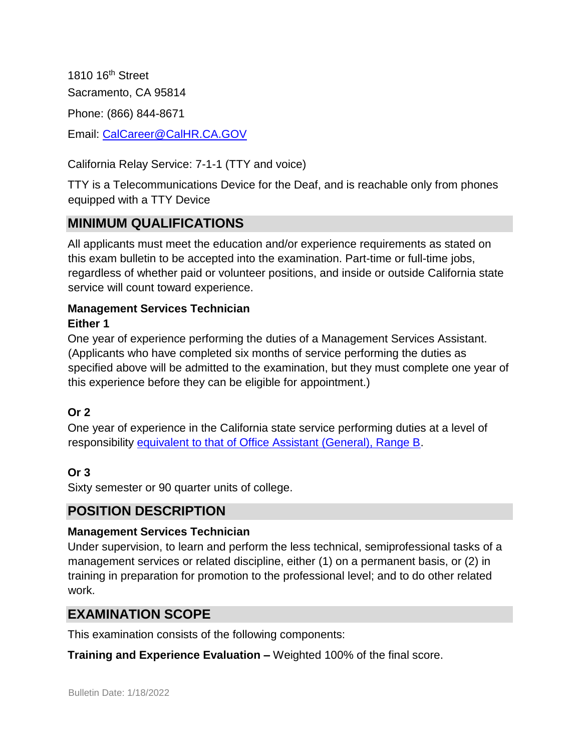1810 16th Street Sacramento, CA 95814 Phone: (866) 844-8671 Email: CalCareer@CalHR.CA.GOV

California Relay Service: 7-1-1 (TTY and voice)

TTY is a Telecommunications Device for the Deaf, and is reachable only from phones equipped with a TTY Device

# **MINIMUM QUALIFICATIONS**

All applicants must meet the education and/or experience requirements as stated on this exam bulletin to be accepted into the examination. Part-time or full-time jobs, regardless of whether paid or volunteer positions, and inside or outside California state service will count toward experience.

#### **Management Services Technician Either 1**

One year of experience performing the duties of a Management Services Assistant. (Applicants who have completed six months of service performing the duties as specified above will be admitted to the examination, but they must complete one year of this experience before they can be eligible for appointment.)

## **Or 2**

One year of experience in the California state service performing duties at a level of responsibility [equivalent to that of Office Assistant \(General\), Range B.](https://jobs.ca.gov/jobsgen/4pb42A.pdf)

## **Or 3**

Sixty semester or 90 quarter units of college.

## **POSITION DESCRIPTION**

#### **Management Services Technician**

Under supervision, to learn and perform the less technical, semiprofessional tasks of a management services or related discipline, either (1) on a permanent basis, or (2) in training in preparation for promotion to the professional level; and to do other related work.

## **EXAMINATION SCOPE**

This examination consists of the following components:

**Training and Experience Evaluation –** Weighted 100% of the final score.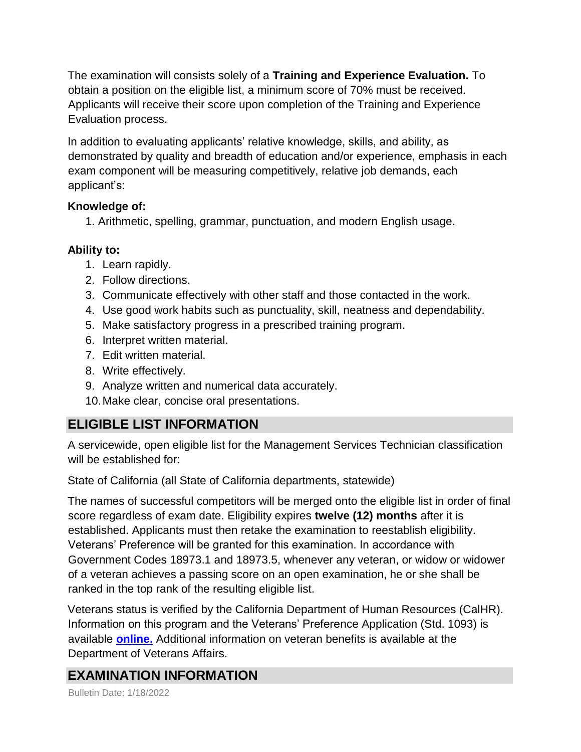The examination will consists solely of a **Training and Experience Evaluation.** To obtain a position on the eligible list, a minimum score of 70% must be received. Applicants will receive their score upon completion of the Training and Experience Evaluation process.

In addition to evaluating applicants' relative knowledge, skills, and ability, as demonstrated by quality and breadth of education and/or experience, emphasis in each exam component will be measuring competitively, relative job demands, each applicant's:

#### **Knowledge of:**

1. Arithmetic, spelling, grammar, punctuation, and modern English usage.

### **Ability to:**

- 1. Learn rapidly.
- 2. Follow directions.
- 3. Communicate effectively with other staff and those contacted in the work.
- 4. Use good work habits such as punctuality, skill, neatness and dependability.
- 5. Make satisfactory progress in a prescribed training program.
- 6. Interpret written material.
- 7. Edit written material.
- 8. Write effectively.
- 9. Analyze written and numerical data accurately.
- 10.Make clear, concise oral presentations.

# **ELIGIBLE LIST INFORMATION**

A servicewide, open eligible list for the Management Services Technician classification will be established for:

State of California (all State of California departments, statewide)

The names of successful competitors will be merged onto the eligible list in order of final score regardless of exam date. Eligibility expires **twelve (12) months** after it is established. Applicants must then retake the examination to reestablish eligibility. Veterans' Preference will be granted for this examination. In accordance with Government Codes 18973.1 and 18973.5, whenever any veteran, or widow or widower of a veteran achieves a passing score on an open examination, he or she shall be ranked in the top rank of the resulting eligible list.

Veterans status is verified by the California Department of Human Resources (CalHR). Information on this program and the Veterans' Preference Application (Std. 1093) is available **[online.](https://www.jobs.ca.gov/CalHRPublic/Landing/Jobs/VeteransInformation.aspx)** [A](https://www.jobs.ca.gov/CalHRPublic/Landing/Jobs/VeteransInformation.aspx)dditional information on veteran benefits is available at the Department of Veterans Affairs.

# **EXAMINATION INFORMATION**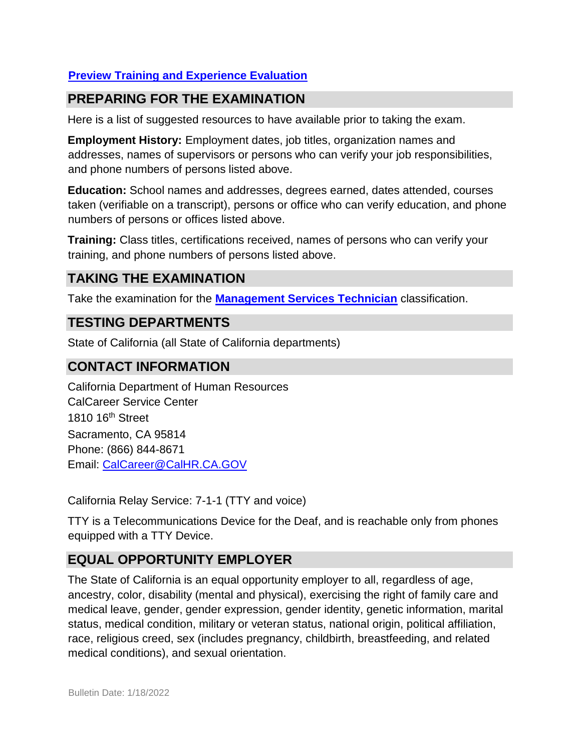## **[Preview Training and Experience Evaluation](https://jobs.ca.gov/jobsgen/4PB42b.pdf)**

## **PREPARING FOR THE EXAMINATION**

Here is a list of suggested resources to have available prior to taking the exam.

**Employment History:** Employment dates, job titles, organization names and addresses, names of supervisors or persons who can verify your job responsibilities, and phone numbers of persons listed above.

**Education:** School names and addresses, degrees earned, dates attended, courses taken (verifiable on a transcript), persons or office who can verify education, and phone numbers of persons or offices listed above.

**Training:** Class titles, certifications received, names of persons who can verify your training, and phone numbers of persons listed above.

# **TAKING THE EXAMINATION**

Take the examination for the **[Management Services Technician](https://www.jobs.ca.gov/CalHRPublic/Login.aspx?ExamId=4PB42)** classification.

## **TESTING DEPARTMENTS**

State of California (all State of California departments)

### **CONTACT INFORMATION**

California Department of Human Resources CalCareer Service Center 1810 16th Street Sacramento, CA 95814 Phone: (866) 844-8671 Email: CalCareer@CalHR.CA.GOV

California Relay Service: 7-1-1 (TTY and voice)

TTY is a Telecommunications Device for the Deaf, and is reachable only from phones equipped with a TTY Device.

# **EQUAL OPPORTUNITY EMPLOYER**

The State of California is an equal opportunity employer to all, regardless of age, ancestry, color, disability (mental and physical), exercising the right of family care and medical leave, gender, gender expression, gender identity, genetic information, marital status, medical condition, military or veteran status, national origin, political affiliation, race, religious creed, sex (includes pregnancy, childbirth, breastfeeding, and related medical conditions), and sexual orientation.